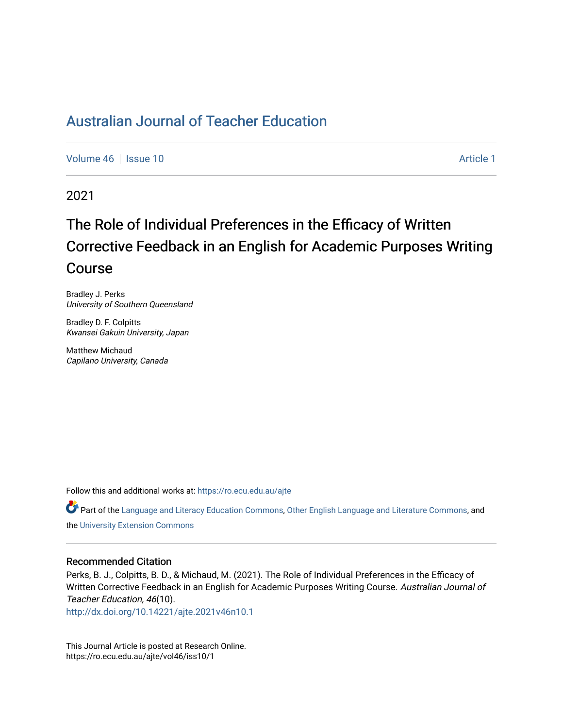[Volume 46](https://ro.ecu.edu.au/ajte/vol46) | [Issue 10](https://ro.ecu.edu.au/ajte/vol46/iss10) [Article 1](https://ro.ecu.edu.au/ajte/vol46/iss10/1) Article 1

2021

# The Role of Individual Preferences in the Efficacy of Written Corrective Feedback in an English for Academic Purposes Writing Course

Bradley J. Perks University of Southern Queensland

Bradley D. F. Colpitts Kwansei Gakuin University, Japan

Matthew Michaud Capilano University, Canada

Follow this and additional works at: [https://ro.ecu.edu.au/ajte](https://ro.ecu.edu.au/ajte?utm_source=ro.ecu.edu.au%2Fajte%2Fvol46%2Fiss10%2F1&utm_medium=PDF&utm_campaign=PDFCoverPages) 

Part of the [Language and Literacy Education Commons](http://network.bepress.com/hgg/discipline/1380?utm_source=ro.ecu.edu.au%2Fajte%2Fvol46%2Fiss10%2F1&utm_medium=PDF&utm_campaign=PDFCoverPages), [Other English Language and Literature Commons](http://network.bepress.com/hgg/discipline/462?utm_source=ro.ecu.edu.au%2Fajte%2Fvol46%2Fiss10%2F1&utm_medium=PDF&utm_campaign=PDFCoverPages), and the [University Extension Commons](http://network.bepress.com/hgg/discipline/1361?utm_source=ro.ecu.edu.au%2Fajte%2Fvol46%2Fiss10%2F1&utm_medium=PDF&utm_campaign=PDFCoverPages)

#### Recommended Citation

Perks, B. J., Colpitts, B. D., & Michaud, M. (2021). The Role of Individual Preferences in the Efficacy of Written Corrective Feedback in an English for Academic Purposes Writing Course. Australian Journal of Teacher Education, 46(10).

<http://dx.doi.org/10.14221/ajte.2021v46n10.1>

This Journal Article is posted at Research Online. https://ro.ecu.edu.au/ajte/vol46/iss10/1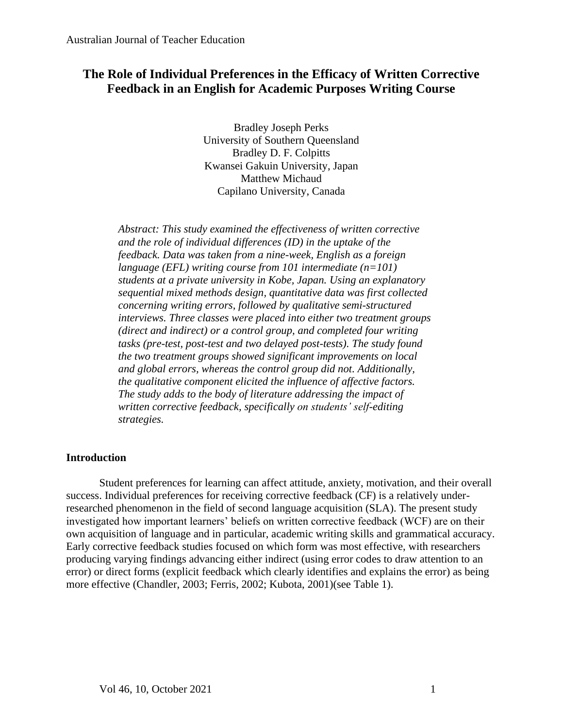# **The Role of Individual Preferences in the Efficacy of Written Corrective Feedback in an English for Academic Purposes Writing Course**

Bradley Joseph Perks University of Southern Queensland Bradley D. F. Colpitts Kwansei Gakuin University, Japan Matthew Michaud Capilano University, Canada

*Abstract: This study examined the effectiveness of written corrective and the role of individual differences (ID) in the uptake of the feedback. Data was taken from a nine-week, English as a foreign language (EFL) writing course from 101 intermediate (n=101) students at a private university in Kobe, Japan. Using an explanatory sequential mixed methods design, quantitative data was first collected concerning writing errors, followed by qualitative semi-structured interviews. Three classes were placed into either two treatment groups (direct and indirect) or a control group, and completed four writing tasks (pre-test, post-test and two delayed post-tests). The study found the two treatment groups showed significant improvements on local and global errors, whereas the control group did not. Additionally, the qualitative component elicited the influence of affective factors. The study adds to the body of literature addressing the impact of written corrective feedback, specifically on students' self-editing strategies.*

# **Introduction**

Student preferences for learning can affect attitude, anxiety, motivation, and their overall success. Individual preferences for receiving corrective feedback (CF) is a relatively underresearched phenomenon in the field of second language acquisition (SLA). The present study investigated how important learners' beliefs on written corrective feedback (WCF) are on their own acquisition of language and in particular, academic writing skills and grammatical accuracy. Early corrective feedback studies focused on which form was most effective, with researchers producing varying findings advancing either indirect (using error codes to draw attention to an error) or direct forms (explicit feedback which clearly identifies and explains the error) as being more effective (Chandler, 2003; Ferris, 2002; Kubota, 2001)(see Table 1).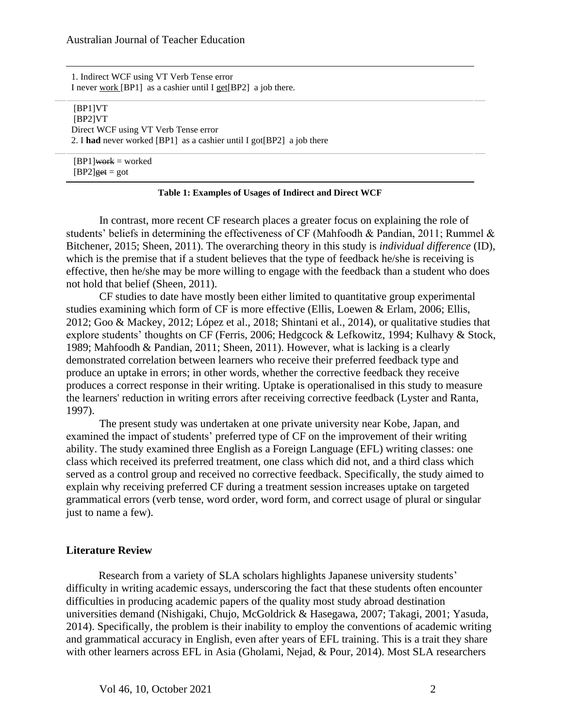1. Indirect WCF using VT Verb Tense error I never work [BP1] as a cashier until I get[BP2] a job there.

[BP1]VT [BP2]VT Direct WCF using VT Verb Tense error 2. I **had** never worked [BP1] as a cashier until I got[BP2] a job there

 $[BPI]$ work = worked  $[BP2]$ <del>get</del> = got

### **Table 1: Examples of Usages of Indirect and Direct WCF**

In contrast, more recent CF research places a greater focus on explaining the role of students' beliefs in determining the effectiveness of CF (Mahfoodh & Pandian, 2011; Rummel & Bitchener, 2015; Sheen, 2011). The overarching theory in this study is *individual difference* (ID), which is the premise that if a student believes that the type of feedback he/she is receiving is effective, then he/she may be more willing to engage with the feedback than a student who does not hold that belief (Sheen, 2011).

CF studies to date have mostly been either limited to quantitative group experimental studies examining which form of CF is more effective (Ellis, Loewen & Erlam, 2006; Ellis, 2012; Goo & Mackey, 2012; López et al., 2018; Shintani et al., 2014), or qualitative studies that explore students' thoughts on CF (Ferris, 2006; Hedgcock & Lefkowitz, 1994; Kulhavy & Stock, 1989; Mahfoodh & Pandian, 2011; Sheen, 2011). However, what is lacking is a clearly demonstrated correlation between learners who receive their preferred feedback type and produce an uptake in errors; in other words, whether the corrective feedback they receive produces a correct response in their writing. Uptake is operationalised in this study to measure the learners' reduction in writing errors after receiving corrective feedback (Lyster and Ranta, 1997).

The present study was undertaken at one private university near Kobe, Japan, and examined the impact of students' preferred type of CF on the improvement of their writing ability. The study examined three English as a Foreign Language (EFL) writing classes: one class which received its preferred treatment, one class which did not, and a third class which served as a control group and received no corrective feedback. Specifically, the study aimed to explain why receiving preferred CF during a treatment session increases uptake on targeted grammatical errors (verb tense, word order, word form, and correct usage of plural or singular just to name a few).

#### **Literature Review**

Research from a variety of SLA scholars highlights Japanese university students' difficulty in writing academic essays, underscoring the fact that these students often encounter difficulties in producing academic papers of the quality most study abroad destination universities demand (Nishigaki, Chujo, McGoldrick & Hasegawa, 2007; Takagi, 2001; Yasuda, 2014). Specifically, the problem is their inability to employ the conventions of academic writing and grammatical accuracy in English, even after years of EFL training. This is a trait they share with other learners across EFL in Asia (Gholami, Nejad, & Pour, 2014). Most SLA researchers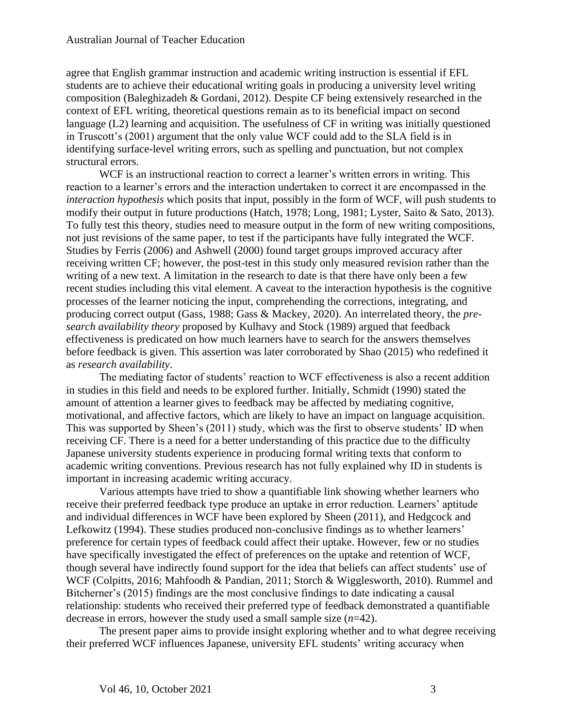agree that English grammar instruction and academic writing instruction is essential if EFL students are to achieve their educational writing goals in producing a university level writing composition (Baleghizadeh & Gordani, 2012). Despite CF being extensively researched in the context of EFL writing, theoretical questions remain as to its beneficial impact on second language (L2) learning and acquisition. The usefulness of CF in writing was initially questioned in Truscott's (2001) argument that the only value WCF could add to the SLA field is in identifying surface-level writing errors, such as spelling and punctuation, but not complex structural errors.

WCF is an instructional reaction to correct a learner's written errors in writing. This reaction to a learner's errors and the interaction undertaken to correct it are encompassed in the *interaction hypothesis* which posits that input, possibly in the form of WCF, will push students to modify their output in future productions (Hatch, 1978; Long, 1981; Lyster, Saito & Sato, 2013). To fully test this theory, studies need to measure output in the form of new writing compositions, not just revisions of the same paper, to test if the participants have fully integrated the WCF. Studies by Ferris (2006) and Ashwell (2000) found target groups improved accuracy after receiving written CF; however, the post-test in this study only measured revision rather than the writing of a new text. A limitation in the research to date is that there have only been a few recent studies including this vital element. A caveat to the interaction hypothesis is the cognitive processes of the learner noticing the input, comprehending the corrections, integrating, and producing correct output (Gass, 1988; Gass & Mackey, 2020). An interrelated theory, the *presearch availability theory* proposed by Kulhavy and Stock (1989) argued that feedback effectiveness is predicated on how much learners have to search for the answers themselves before feedback is given. This assertion was later corroborated by Shao (2015) who redefined it as *research availability*.

The mediating factor of students' reaction to WCF effectiveness is also a recent addition in studies in this field and needs to be explored further. Initially, Schmidt (1990) stated the amount of attention a learner gives to feedback may be affected by mediating cognitive, motivational, and affective factors, which are likely to have an impact on language acquisition. This was supported by Sheen's (2011) study, which was the first to observe students' ID when receiving CF. There is a need for a better understanding of this practice due to the difficulty Japanese university students experience in producing formal writing texts that conform to academic writing conventions. Previous research has not fully explained why ID in students is important in increasing academic writing accuracy.

Various attempts have tried to show a quantifiable link showing whether learners who receive their preferred feedback type produce an uptake in error reduction. Learners' aptitude and individual differences in WCF have been explored by Sheen (2011), and Hedgcock and Lefkowitz (1994). These studies produced non-conclusive findings as to whether learners' preference for certain types of feedback could affect their uptake. However, few or no studies have specifically investigated the effect of preferences on the uptake and retention of WCF, though several have indirectly found support for the idea that beliefs can affect students' use of WCF (Colpitts, 2016; Mahfoodh & Pandian, 2011; Storch & Wigglesworth, 2010). Rummel and Bitcherner's (2015) findings are the most conclusive findings to date indicating a causal relationship: students who received their preferred type of feedback demonstrated a quantifiable decrease in errors, however the study used a small sample size (*n*=42).

The present paper aims to provide insight exploring whether and to what degree receiving their preferred WCF influences Japanese, university EFL students' writing accuracy when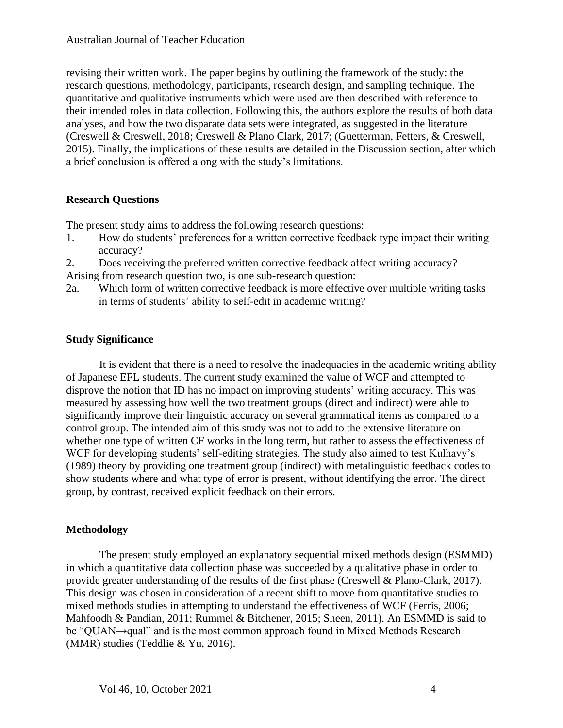revising their written work. The paper begins by outlining the framework of the study: the research questions, methodology, participants, research design, and sampling technique. The quantitative and qualitative instruments which were used are then described with reference to their intended roles in data collection. Following this, the authors explore the results of both data analyses, and how the two disparate data sets were integrated, as suggested in the literature (Creswell & Creswell, 2018; Creswell & Plano Clark, 2017; (Guetterman, Fetters, & Creswell, 2015). Finally, the implications of these results are detailed in the Discussion section, after which a brief conclusion is offered along with the study's limitations.

# **Research Questions**

The present study aims to address the following research questions:

- 1. How do students' preferences for a written corrective feedback type impact their writing accuracy?
- 2. Does receiving the preferred written corrective feedback affect writing accuracy? Arising from research question two, is one sub-research question:
- 2a. Which form of written corrective feedback is more effective over multiple writing tasks in terms of students' ability to self-edit in academic writing?

# **Study Significance**

It is evident that there is a need to resolve the inadequacies in the academic writing ability of Japanese EFL students. The current study examined the value of WCF and attempted to disprove the notion that ID has no impact on improving students' writing accuracy. This was measured by assessing how well the two treatment groups (direct and indirect) were able to significantly improve their linguistic accuracy on several grammatical items as compared to a control group. The intended aim of this study was not to add to the extensive literature on whether one type of written CF works in the long term, but rather to assess the effectiveness of WCF for developing students' self-editing strategies. The study also aimed to test Kulhavy's (1989) theory by providing one treatment group (indirect) with metalinguistic feedback codes to show students where and what type of error is present, without identifying the error. The direct group, by contrast, received explicit feedback on their errors.

# **Methodology**

The present study employed an explanatory sequential mixed methods design (ESMMD) in which a quantitative data collection phase was succeeded by a qualitative phase in order to provide greater understanding of the results of the first phase (Creswell & Plano-Clark, 2017). This design was chosen in consideration of a recent shift to move from quantitative studies to mixed methods studies in attempting to understand the effectiveness of WCF (Ferris, 2006; Mahfoodh & Pandian, 2011; Rummel & Bitchener, 2015; Sheen, 2011). An ESMMD is said to be "QUAN→qual" and is the most common approach found in Mixed Methods Research (MMR) studies (Teddlie & Yu, 2016).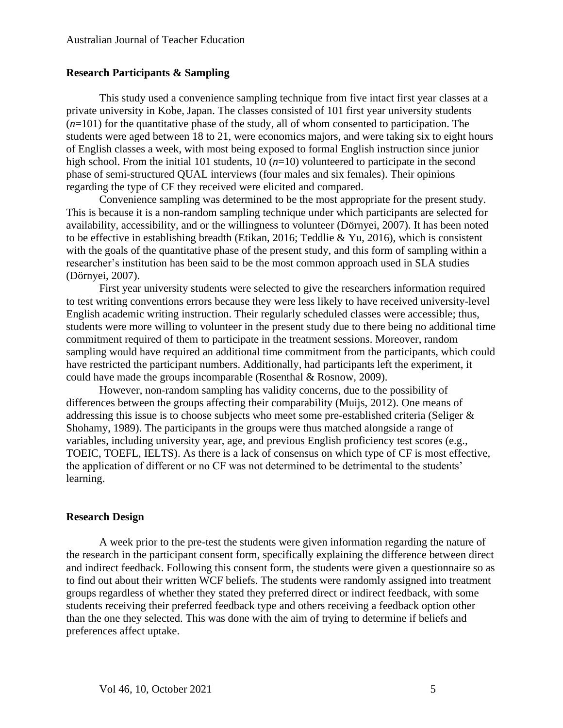#### **Research Participants & Sampling**

This study used a convenience sampling technique from five intact first year classes at a private university in Kobe, Japan. The classes consisted of 101 first year university students (*n*=101) for the quantitative phase of the study, all of whom consented to participation. The students were aged between 18 to 21, were economics majors, and were taking six to eight hours of English classes a week, with most being exposed to formal English instruction since junior high school. From the initial 101 students, 10 (*n*=10) volunteered to participate in the second phase of semi-structured QUAL interviews (four males and six females). Their opinions regarding the type of CF they received were elicited and compared.

Convenience sampling was determined to be the most appropriate for the present study. This is because it is a non-random sampling technique under which participants are selected for availability, accessibility, and or the willingness to volunteer (Dörnyei, 2007). It has been noted to be effective in establishing breadth (Etikan, 2016; Teddlie & Yu, 2016), which is consistent with the goals of the quantitative phase of the present study, and this form of sampling within a researcher's institution has been said to be the most common approach used in SLA studies (Dörnyei, 2007).

First year university students were selected to give the researchers information required to test writing conventions errors because they were less likely to have received university-level English academic writing instruction. Their regularly scheduled classes were accessible; thus, students were more willing to volunteer in the present study due to there being no additional time commitment required of them to participate in the treatment sessions. Moreover, random sampling would have required an additional time commitment from the participants, which could have restricted the participant numbers. Additionally, had participants left the experiment, it could have made the groups incomparable (Rosenthal & Rosnow, 2009).

However, non-random sampling has validity concerns, due to the possibility of differences between the groups affecting their comparability (Muijs, 2012). One means of addressing this issue is to choose subjects who meet some pre-established criteria (Seliger & Shohamy, 1989). The participants in the groups were thus matched alongside a range of variables, including university year, age, and previous English proficiency test scores (e.g., TOEIC, TOEFL, IELTS). As there is a lack of consensus on which type of CF is most effective, the application of different or no CF was not determined to be detrimental to the students' learning.

#### **Research Design**

A week prior to the pre-test the students were given information regarding the nature of the research in the participant consent form, specifically explaining the difference between direct and indirect feedback. Following this consent form, the students were given a questionnaire so as to find out about their written WCF beliefs. The students were randomly assigned into treatment groups regardless of whether they stated they preferred direct or indirect feedback, with some students receiving their preferred feedback type and others receiving a feedback option other than the one they selected. This was done with the aim of trying to determine if beliefs and preferences affect uptake.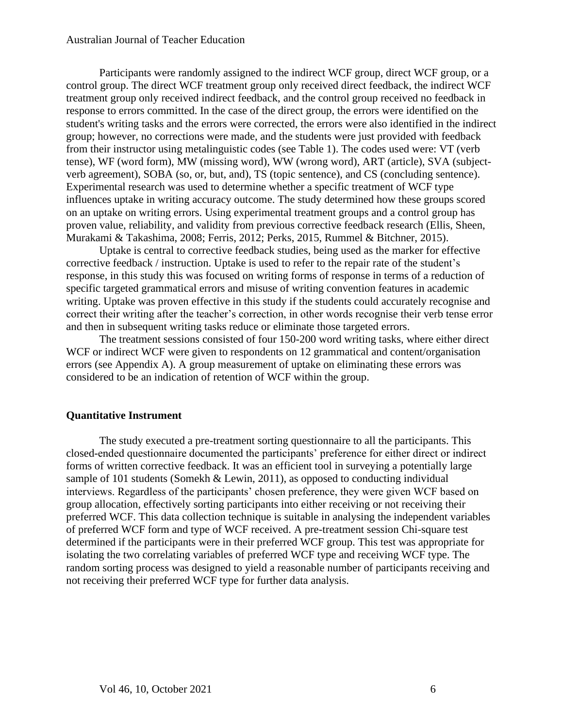Participants were randomly assigned to the indirect WCF group, direct WCF group, or a control group. The direct WCF treatment group only received direct feedback, the indirect WCF treatment group only received indirect feedback, and the control group received no feedback in response to errors committed. In the case of the direct group, the errors were identified on the student's writing tasks and the errors were corrected, the errors were also identified in the indirect group; however, no corrections were made, and the students were just provided with feedback from their instructor using metalinguistic codes (see Table 1). The codes used were: VT (verb tense), WF (word form), MW (missing word), WW (wrong word), ART (article), SVA (subjectverb agreement), SOBA (so, or, but, and), TS (topic sentence), and CS (concluding sentence). Experimental research was used to determine whether a specific treatment of WCF type influences uptake in writing accuracy outcome. The study determined how these groups scored on an uptake on writing errors. Using experimental treatment groups and a control group has proven value, reliability, and validity from previous corrective feedback research (Ellis, Sheen, Murakami & Takashima, 2008; Ferris, 2012; Perks, 2015, Rummel & Bitchner, 2015).

Uptake is central to corrective feedback studies, being used as the marker for effective corrective feedback / instruction. Uptake is used to refer to the repair rate of the student's response, in this study this was focused on writing forms of response in terms of a reduction of specific targeted grammatical errors and misuse of writing convention features in academic writing. Uptake was proven effective in this study if the students could accurately recognise and correct their writing after the teacher's correction, in other words recognise their verb tense error and then in subsequent writing tasks reduce or eliminate those targeted errors.

The treatment sessions consisted of four 150-200 word writing tasks, where either direct WCF or indirect WCF were given to respondents on 12 grammatical and content/organisation errors (see Appendix A). A group measurement of uptake on eliminating these errors was considered to be an indication of retention of WCF within the group.

# **Quantitative Instrument**

The study executed a pre-treatment sorting questionnaire to all the participants. This closed-ended questionnaire documented the participants' preference for either direct or indirect forms of written corrective feedback. It was an efficient tool in surveying a potentially large sample of 101 students (Somekh & Lewin, 2011), as opposed to conducting individual interviews. Regardless of the participants' chosen preference, they were given WCF based on group allocation, effectively sorting participants into either receiving or not receiving their preferred WCF. This data collection technique is suitable in analysing the independent variables of preferred WCF form and type of WCF received. A pre-treatment session Chi-square test determined if the participants were in their preferred WCF group. This test was appropriate for isolating the two correlating variables of preferred WCF type and receiving WCF type. The random sorting process was designed to yield a reasonable number of participants receiving and not receiving their preferred WCF type for further data analysis.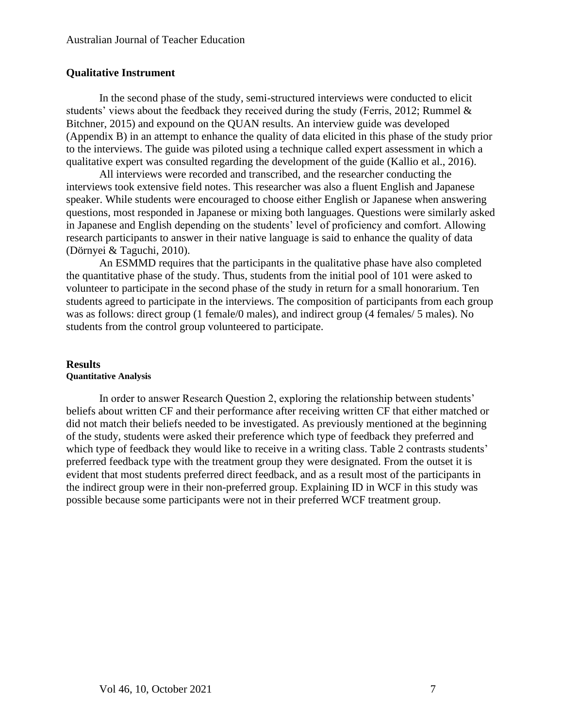# **Qualitative Instrument**

In the second phase of the study, semi-structured interviews were conducted to elicit students' views about the feedback they received during the study (Ferris, 2012; Rummel & Bitchner, 2015) and expound on the QUAN results. An interview guide was developed (Appendix B) in an attempt to enhance the quality of data elicited in this phase of the study prior to the interviews. The guide was piloted using a technique called expert assessment in which a qualitative expert was consulted regarding the development of the guide (Kallio et al., 2016).

All interviews were recorded and transcribed, and the researcher conducting the interviews took extensive field notes. This researcher was also a fluent English and Japanese speaker. While students were encouraged to choose either English or Japanese when answering questions, most responded in Japanese or mixing both languages. Questions were similarly asked in Japanese and English depending on the students' level of proficiency and comfort. Allowing research participants to answer in their native language is said to enhance the quality of data (Dörnyei & Taguchi, 2010).

An ESMMD requires that the participants in the qualitative phase have also completed the quantitative phase of the study. Thus, students from the initial pool of 101 were asked to volunteer to participate in the second phase of the study in return for a small honorarium. Ten students agreed to participate in the interviews. The composition of participants from each group was as follows: direct group (1 female/0 males), and indirect group (4 females/ 5 males). No students from the control group volunteered to participate.

### **Results Quantitative Analysis**

In order to answer Research Question 2, exploring the relationship between students' beliefs about written CF and their performance after receiving written CF that either matched or did not match their beliefs needed to be investigated. As previously mentioned at the beginning of the study, students were asked their preference which type of feedback they preferred and which type of feedback they would like to receive in a writing class. Table 2 contrasts students' preferred feedback type with the treatment group they were designated. From the outset it is evident that most students preferred direct feedback, and as a result most of the participants in the indirect group were in their non-preferred group. Explaining ID in WCF in this study was possible because some participants were not in their preferred WCF treatment group.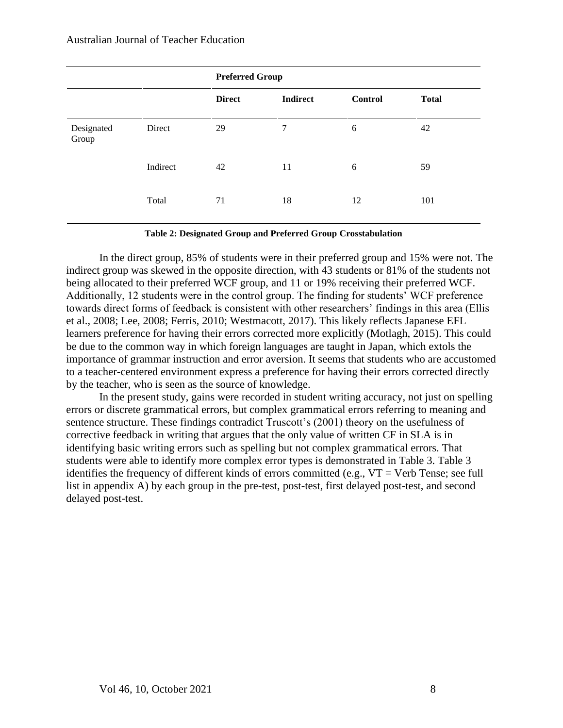|                     |          | <b>Preferred Group</b> |                 |                |              |
|---------------------|----------|------------------------|-----------------|----------------|--------------|
|                     |          | <b>Direct</b>          | <b>Indirect</b> | <b>Control</b> | <b>Total</b> |
| Designated<br>Group | Direct   | 29                     | 7               | 6              | 42           |
|                     | Indirect | 42                     | 11              | 6              | 59           |
|                     | Total    | 71                     | 18              | 12             | 101          |

**Table 2: Designated Group and Preferred Group Crosstabulation**

In the direct group, 85% of students were in their preferred group and 15% were not. The indirect group was skewed in the opposite direction, with 43 students or 81% of the students not being allocated to their preferred WCF group, and 11 or 19% receiving their preferred WCF. Additionally, 12 students were in the control group. The finding for students' WCF preference towards direct forms of feedback is consistent with other researchers' findings in this area (Ellis et al., 2008; Lee, 2008; Ferris, 2010; Westmacott, 2017). This likely reflects Japanese EFL learners preference for having their errors corrected more explicitly (Motlagh, 2015). This could be due to the common way in which foreign languages are taught in Japan, which extols the importance of grammar instruction and error aversion. It seems that students who are accustomed to a teacher-centered environment express a preference for having their errors corrected directly by the teacher, who is seen as the source of knowledge.

In the present study, gains were recorded in student writing accuracy, not just on spelling errors or discrete grammatical errors, but complex grammatical errors referring to meaning and sentence structure. These findings contradict Truscott's (2001) theory on the usefulness of corrective feedback in writing that argues that the only value of written CF in SLA is in identifying basic writing errors such as spelling but not complex grammatical errors. That students were able to identify more complex error types is demonstrated in Table 3. Table 3 identifies the frequency of different kinds of errors committed (e.g.,  $VT = Verb$  Tense; see full list in appendix A) by each group in the pre-test, post-test, first delayed post-test, and second delayed post-test.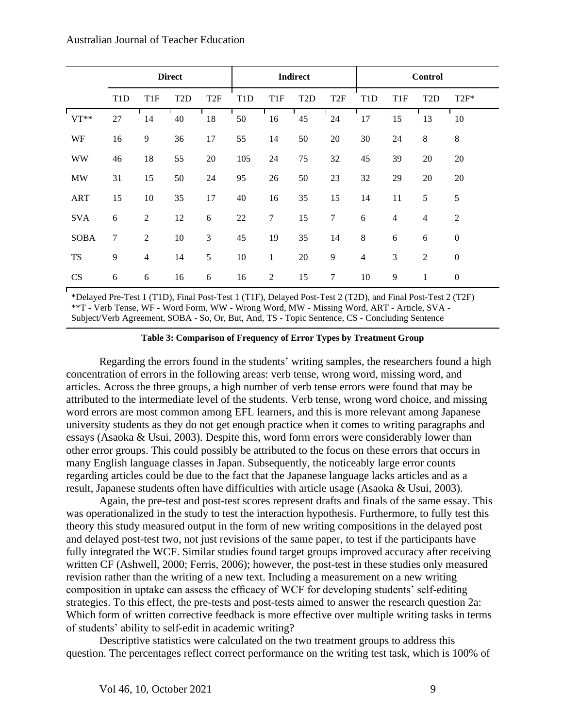|             |                  |                  | <b>Direct</b>    |                  |                  |                  | <b>Indirect</b>  |                 |                  |                 | <b>Control</b>   |                  |
|-------------|------------------|------------------|------------------|------------------|------------------|------------------|------------------|-----------------|------------------|-----------------|------------------|------------------|
|             | T <sub>1</sub> D | T <sub>1F</sub>  | T <sub>2</sub> D | T <sub>2F</sub>  | T <sub>1</sub> D | T1F              | T <sub>2</sub> D | T <sub>2F</sub> | T <sub>1</sub> D | T <sub>1F</sub> | T <sub>2</sub> D | $T2F^*$          |
| $VT**$      | 27               | 14               | 40               | 18               | 50               | 16               | 45               | 24              | 17               | 15              | 13               | 10               |
| WF          | 16               | 9                | 36               | 17               | 55               | 14               | 50               | 20              | 30               | 24              | $\,8\,$          | $\,8\,$          |
| <b>WW</b>   | 46               | 18               | 55               | 20               | 105              | 24               | 75               | 32              | 45               | 39              | 20               | 20               |
| <b>MW</b>   | 31               | 15               | 50               | 24               | 95               | 26               | 50               | 23              | 32               | 29              | 20               | 20               |
| <b>ART</b>  | 15               | 10               | 35               | 17               | 40               | 16               | 35               | 15              | 14               | 11              | 5                | $\sqrt{5}$       |
| <b>SVA</b>  | 6                | $\overline{2}$   | 12               | 6                | 22               | $\boldsymbol{7}$ | 15               | $\tau$          | 6                | $\overline{4}$  | $\overline{4}$   | $\overline{2}$   |
| <b>SOBA</b> | $\tau$           | 2                | 10               | 3                | 45               | 19               | 35               | 14              | $\,8\,$          | $\sqrt{6}$      | 6                | $\boldsymbol{0}$ |
| <b>TS</b>   | 9                | $\overline{4}$   | 14               | 5                | 10               | $\mathbf{1}$     | 20               | 9               | $\overline{4}$   | 3               | $\mathfrak{2}$   | $\mathbf{0}$     |
| <b>CS</b>   | $\boldsymbol{6}$ | $\boldsymbol{6}$ | 16               | $\boldsymbol{6}$ | 16               | $\overline{c}$   | 15               | $\tau$          | 10               | 9               | 1                | $\boldsymbol{0}$ |

\*Delayed Pre-Test 1 (T1D), Final Post-Test 1 (T1F), Delayed Post-Test 2 (T2D), and Final Post-Test 2 (T2F) \*\*T - Verb Tense, WF - Word Form, WW - Wrong Word, MW - Missing Word, ART - Article, SVA - Subject/Verb Agreement, SOBA - So, Or, But, And, TS - Topic Sentence, CS - Concluding Sentence

#### **Table 3: Comparison of Frequency of Error Types by Treatment Group**

Regarding the errors found in the students' writing samples, the researchers found a high concentration of errors in the following areas: verb tense, wrong word, missing word, and articles. Across the three groups, a high number of verb tense errors were found that may be attributed to the intermediate level of the students. Verb tense, wrong word choice, and missing word errors are most common among EFL learners, and this is more relevant among Japanese university students as they do not get enough practice when it comes to writing paragraphs and essays (Asaoka & Usui, 2003). Despite this, word form errors were considerably lower than other error groups. This could possibly be attributed to the focus on these errors that occurs in many English language classes in Japan. Subsequently, the noticeably large error counts regarding articles could be due to the fact that the Japanese language lacks articles and as a result, Japanese students often have difficulties with article usage (Asaoka & Usui, 2003).

Again, the pre-test and post-test scores represent drafts and finals of the same essay. This was operationalized in the study to test the interaction hypothesis. Furthermore, to fully test this theory this study measured output in the form of new writing compositions in the delayed post and delayed post-test two, not just revisions of the same paper, to test if the participants have fully integrated the WCF. Similar studies found target groups improved accuracy after receiving written CF (Ashwell, 2000; Ferris, 2006); however, the post-test in these studies only measured revision rather than the writing of a new text. Including a measurement on a new writing composition in uptake can assess the efficacy of WCF for developing students' self-editing strategies. To this effect, the pre-tests and post-tests aimed to answer the research question 2a: Which form of written corrective feedback is more effective over multiple writing tasks in terms of students' ability to self-edit in academic writing?

Descriptive statistics were calculated on the two treatment groups to address this question. The percentages reflect correct performance on the writing test task, which is 100% of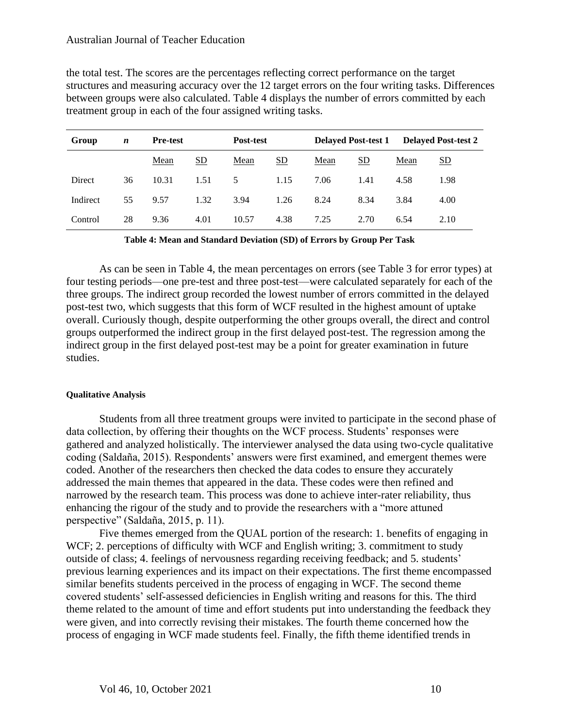the total test. The scores are the percentages reflecting correct performance on the target structures and measuring accuracy over the 12 target errors on the four writing tasks. Differences between groups were also calculated. Table 4 displays the number of errors committed by each treatment group in each of the four assigned writing tasks.

| Group    | $\boldsymbol{n}$ | <b>Pre-test</b> |      | Post-test |      | <b>Delayed Post-test 1</b> |      |      | <b>Delayed Post-test 2</b> |
|----------|------------------|-----------------|------|-----------|------|----------------------------|------|------|----------------------------|
|          |                  | Mean            | SD   | Mean      | SD   | Mean                       | SD   | Mean | <u>SD</u>                  |
| Direct   | 36               | 10.31           | 1.51 | 5         | 1.15 | 7.06                       | 1.41 | 4.58 | 1.98                       |
| Indirect | 55               | 9.57            | 1.32 | 3.94      | 1.26 | 8.24                       | 8.34 | 3.84 | 4.00                       |
| Control  | 28               | 9.36            | 4.01 | 10.57     | 4.38 | 7.25                       | 2.70 | 6.54 | 2.10                       |

**Table 4: Mean and Standard Deviation (SD) of Errors by Group Per Task**

As can be seen in Table 4, the mean percentages on errors (see Table 3 for error types) at four testing periods—one pre-test and three post-test—were calculated separately for each of the three groups. The indirect group recorded the lowest number of errors committed in the delayed post-test two, which suggests that this form of WCF resulted in the highest amount of uptake overall. Curiously though, despite outperforming the other groups overall, the direct and control groups outperformed the indirect group in the first delayed post-test. The regression among the indirect group in the first delayed post-test may be a point for greater examination in future studies.

#### **Qualitative Analysis**

Students from all three treatment groups were invited to participate in the second phase of data collection, by offering their thoughts on the WCF process. Students' responses were gathered and analyzed holistically. The interviewer analysed the data using two-cycle qualitative coding (Saldaña, 2015). Respondents' answers were first examined, and emergent themes were coded. Another of the researchers then checked the data codes to ensure they accurately addressed the main themes that appeared in the data. These codes were then refined and narrowed by the research team. This process was done to achieve inter-rater reliability, thus enhancing the rigour of the study and to provide the researchers with a "more attuned perspective" (Saldaña, 2015, p. 11).

Five themes emerged from the QUAL portion of the research: 1. benefits of engaging in WCF; 2. perceptions of difficulty with WCF and English writing; 3. commitment to study outside of class; 4. feelings of nervousness regarding receiving feedback; and 5. students' previous learning experiences and its impact on their expectations. The first theme encompassed similar benefits students perceived in the process of engaging in WCF. The second theme covered students' self-assessed deficiencies in English writing and reasons for this. The third theme related to the amount of time and effort students put into understanding the feedback they were given, and into correctly revising their mistakes. The fourth theme concerned how the process of engaging in WCF made students feel. Finally, the fifth theme identified trends in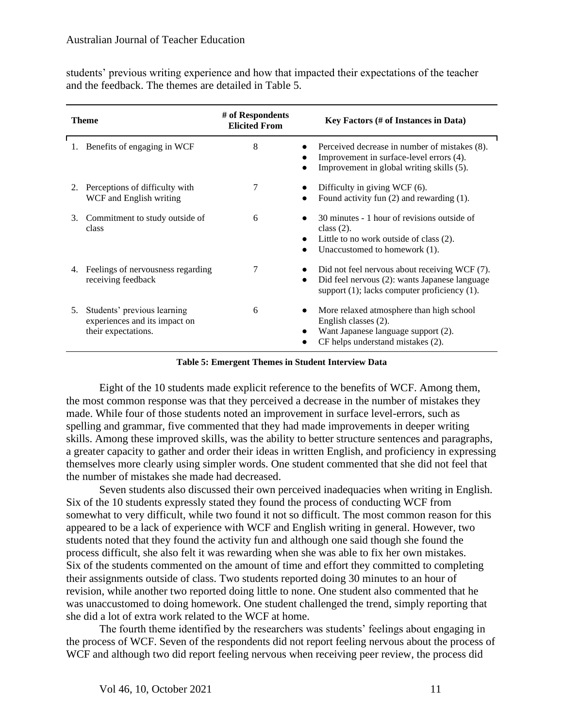| students' previous writing experience and how that impacted their expectations of the teacher |  |  |  |
|-----------------------------------------------------------------------------------------------|--|--|--|
| and the feedback. The themes are detailed in Table 5.                                         |  |  |  |

|    | Theme                                                                               | # of Respondents<br><b>Elicited From</b> | Key Factors (# of Instances in Data)                                                                                                                              |
|----|-------------------------------------------------------------------------------------|------------------------------------------|-------------------------------------------------------------------------------------------------------------------------------------------------------------------|
| 1. | Benefits of engaging in WCF                                                         | 8                                        | Perceived decrease in number of mistakes (8).<br>Improvement in surface-level errors (4).<br>Improvement in global writing skills (5).                            |
| 2. | Perceptions of difficulty with<br>WCF and English writing                           | 7                                        | Difficulty in giving WCF (6).<br>Found activity fun $(2)$ and rewarding $(1)$ .                                                                                   |
| 3. | Commitment to study outside of<br>class                                             | 6                                        | 30 minutes - 1 hour of revisions outside of<br>class $(2)$ .<br>Little to no work outside of class (2).<br>Unaccustomed to homework (1).                          |
| 4. | Feelings of nervousness regarding<br>receiving feedback                             | 7                                        | Did not feel nervous about receiving WCF (7).<br>Did feel nervous (2): wants Japanese language<br>$\bullet$<br>support $(1)$ ; lacks computer proficiency $(1)$ . |
| 5. | Students' previous learning<br>experiences and its impact on<br>their expectations. | 6                                        | More relaxed atmosphere than high school<br>English classes (2).<br>Want Japanese language support (2).<br>CF helps understand mistakes (2).                      |

**Table 5: Emergent Themes in Student Interview Data**

Eight of the 10 students made explicit reference to the benefits of WCF. Among them, the most common response was that they perceived a decrease in the number of mistakes they made. While four of those students noted an improvement in surface level-errors, such as spelling and grammar, five commented that they had made improvements in deeper writing skills. Among these improved skills, was the ability to better structure sentences and paragraphs, a greater capacity to gather and order their ideas in written English, and proficiency in expressing themselves more clearly using simpler words. One student commented that she did not feel that the number of mistakes she made had decreased.

Seven students also discussed their own perceived inadequacies when writing in English. Six of the 10 students expressly stated they found the process of conducting WCF from somewhat to very difficult, while two found it not so difficult. The most common reason for this appeared to be a lack of experience with WCF and English writing in general. However, two students noted that they found the activity fun and although one said though she found the process difficult, she also felt it was rewarding when she was able to fix her own mistakes. Six of the students commented on the amount of time and effort they committed to completing their assignments outside of class. Two students reported doing 30 minutes to an hour of revision, while another two reported doing little to none. One student also commented that he was unaccustomed to doing homework. One student challenged the trend, simply reporting that she did a lot of extra work related to the WCF at home.

The fourth theme identified by the researchers was students' feelings about engaging in the process of WCF. Seven of the respondents did not report feeling nervous about the process of WCF and although two did report feeling nervous when receiving peer review, the process did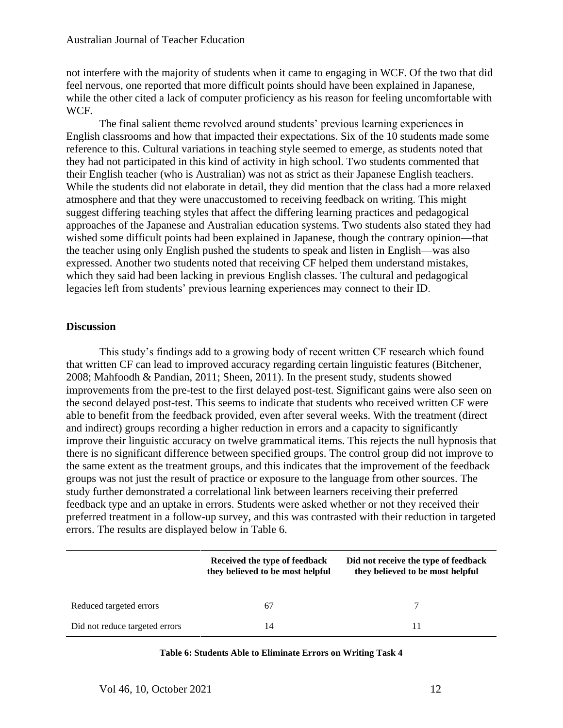not interfere with the majority of students when it came to engaging in WCF. Of the two that did feel nervous, one reported that more difficult points should have been explained in Japanese, while the other cited a lack of computer proficiency as his reason for feeling uncomfortable with WCF.

The final salient theme revolved around students' previous learning experiences in English classrooms and how that impacted their expectations. Six of the 10 students made some reference to this. Cultural variations in teaching style seemed to emerge, as students noted that they had not participated in this kind of activity in high school. Two students commented that their English teacher (who is Australian) was not as strict as their Japanese English teachers. While the students did not elaborate in detail, they did mention that the class had a more relaxed atmosphere and that they were unaccustomed to receiving feedback on writing. This might suggest differing teaching styles that affect the differing learning practices and pedagogical approaches of the Japanese and Australian education systems. Two students also stated they had wished some difficult points had been explained in Japanese, though the contrary opinion—that the teacher using only English pushed the students to speak and listen in English—was also expressed. Another two students noted that receiving CF helped them understand mistakes, which they said had been lacking in previous English classes. The cultural and pedagogical legacies left from students' previous learning experiences may connect to their ID.

# **Discussion**

This study's findings add to a growing body of recent written CF research which found that written CF can lead to improved accuracy regarding certain linguistic features (Bitchener, 2008; Mahfoodh & Pandian, 2011; Sheen, 2011). In the present study, students showed improvements from the pre-test to the first delayed post-test. Significant gains were also seen on the second delayed post-test. This seems to indicate that students who received written CF were able to benefit from the feedback provided, even after several weeks. With the treatment (direct and indirect) groups recording a higher reduction in errors and a capacity to significantly improve their linguistic accuracy on twelve grammatical items. This rejects the null hypnosis that there is no significant difference between specified groups. The control group did not improve to the same extent as the treatment groups, and this indicates that the improvement of the feedback groups was not just the result of practice or exposure to the language from other sources. The study further demonstrated a correlational link between learners receiving their preferred feedback type and an uptake in errors. Students were asked whether or not they received their preferred treatment in a follow-up survey, and this was contrasted with their reduction in targeted errors. The results are displayed below in Table 6.

|                                | Received the type of feedback<br>they believed to be most helpful | Did not receive the type of feedback<br>they believed to be most helpful |
|--------------------------------|-------------------------------------------------------------------|--------------------------------------------------------------------------|
| Reduced targeted errors        | 67                                                                |                                                                          |
| Did not reduce targeted errors | 14                                                                |                                                                          |

| Table 6: Students Able to Eliminate Errors on Writing Task 4 |  |
|--------------------------------------------------------------|--|
|                                                              |  |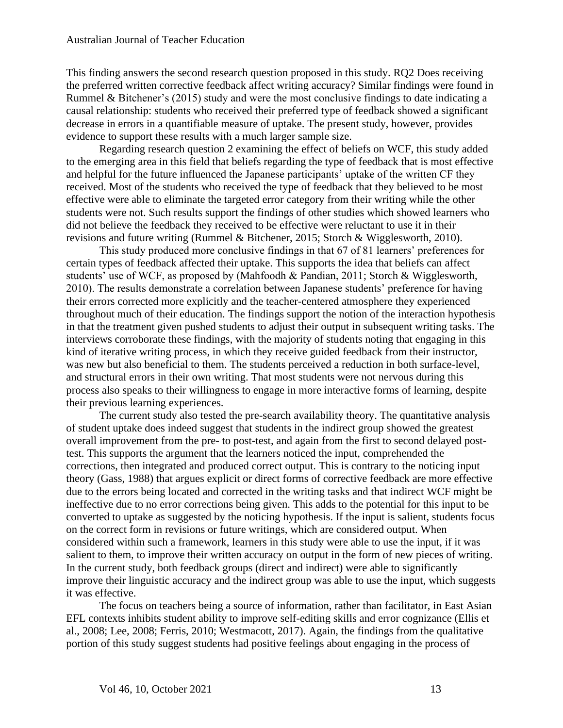This finding answers the second research question proposed in this study. RQ2 Does receiving the preferred written corrective feedback affect writing accuracy? Similar findings were found in Rummel & Bitchener's (2015) study and were the most conclusive findings to date indicating a causal relationship: students who received their preferred type of feedback showed a significant decrease in errors in a quantifiable measure of uptake. The present study, however, provides evidence to support these results with a much larger sample size.

Regarding research question 2 examining the effect of beliefs on WCF, this study added to the emerging area in this field that beliefs regarding the type of feedback that is most effective and helpful for the future influenced the Japanese participants' uptake of the written CF they received. Most of the students who received the type of feedback that they believed to be most effective were able to eliminate the targeted error category from their writing while the other students were not. Such results support the findings of other studies which showed learners who did not believe the feedback they received to be effective were reluctant to use it in their revisions and future writing (Rummel & Bitchener, 2015; Storch & Wigglesworth, 2010).

This study produced more conclusive findings in that 67 of 81 learners' preferences for certain types of feedback affected their uptake. This supports the idea that beliefs can affect students' use of WCF, as proposed by (Mahfoodh & Pandian, 2011; Storch & Wigglesworth, 2010). The results demonstrate a correlation between Japanese students' preference for having their errors corrected more explicitly and the teacher-centered atmosphere they experienced throughout much of their education. The findings support the notion of the interaction hypothesis in that the treatment given pushed students to adjust their output in subsequent writing tasks. The interviews corroborate these findings, with the majority of students noting that engaging in this kind of iterative writing process, in which they receive guided feedback from their instructor, was new but also beneficial to them. The students perceived a reduction in both surface-level, and structural errors in their own writing. That most students were not nervous during this process also speaks to their willingness to engage in more interactive forms of learning, despite their previous learning experiences.

The current study also tested the pre-search availability theory. The quantitative analysis of student uptake does indeed suggest that students in the indirect group showed the greatest overall improvement from the pre- to post-test, and again from the first to second delayed posttest. This supports the argument that the learners noticed the input, comprehended the corrections, then integrated and produced correct output. This is contrary to the noticing input theory (Gass, 1988) that argues explicit or direct forms of corrective feedback are more effective due to the errors being located and corrected in the writing tasks and that indirect WCF might be ineffective due to no error corrections being given. This adds to the potential for this input to be converted to uptake as suggested by the noticing hypothesis. If the input is salient, students focus on the correct form in revisions or future writings, which are considered output. When considered within such a framework, learners in this study were able to use the input, if it was salient to them, to improve their written accuracy on output in the form of new pieces of writing. In the current study, both feedback groups (direct and indirect) were able to significantly improve their linguistic accuracy and the indirect group was able to use the input, which suggests it was effective.

The focus on teachers being a source of information, rather than facilitator, in East Asian EFL contexts inhibits student ability to improve self-editing skills and error cognizance (Ellis et al., 2008; Lee, 2008; Ferris, 2010; Westmacott, 2017). Again, the findings from the qualitative portion of this study suggest students had positive feelings about engaging in the process of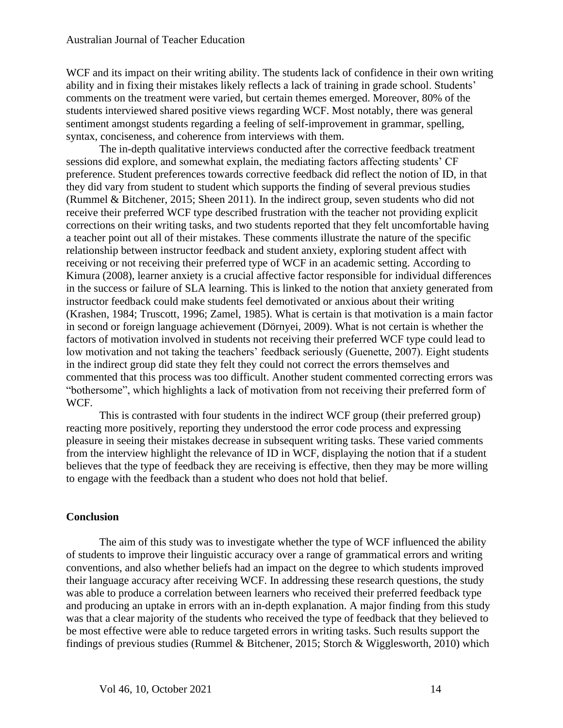WCF and its impact on their writing ability. The students lack of confidence in their own writing ability and in fixing their mistakes likely reflects a lack of training in grade school. Students' comments on the treatment were varied, but certain themes emerged. Moreover, 80% of the students interviewed shared positive views regarding WCF. Most notably, there was general sentiment amongst students regarding a feeling of self-improvement in grammar, spelling, syntax, conciseness, and coherence from interviews with them.

The in-depth qualitative interviews conducted after the corrective feedback treatment sessions did explore, and somewhat explain, the mediating factors affecting students' CF preference. Student preferences towards corrective feedback did reflect the notion of ID, in that they did vary from student to student which supports the finding of several previous studies (Rummel & Bitchener, 2015; Sheen 2011). In the indirect group, seven students who did not receive their preferred WCF type described frustration with the teacher not providing explicit corrections on their writing tasks, and two students reported that they felt uncomfortable having a teacher point out all of their mistakes. These comments illustrate the nature of the specific relationship between instructor feedback and student anxiety, exploring student affect with receiving or not receiving their preferred type of WCF in an academic setting. According to Kimura (2008), learner anxiety is a crucial affective factor responsible for individual differences in the success or failure of SLA learning. This is linked to the notion that anxiety generated from instructor feedback could make students feel demotivated or anxious about their writing (Krashen, 1984; Truscott, 1996; Zamel, 1985). What is certain is that motivation is a main factor in second or foreign language achievement (Dörnyei, 2009). What is not certain is whether the factors of motivation involved in students not receiving their preferred WCF type could lead to low motivation and not taking the teachers' feedback seriously (Guenette, 2007). Eight students in the indirect group did state they felt they could not correct the errors themselves and commented that this process was too difficult. Another student commented correcting errors was "bothersome", which highlights a lack of motivation from not receiving their preferred form of WCF.

This is contrasted with four students in the indirect WCF group (their preferred group) reacting more positively, reporting they understood the error code process and expressing pleasure in seeing their mistakes decrease in subsequent writing tasks. These varied comments from the interview highlight the relevance of ID in WCF, displaying the notion that if a student believes that the type of feedback they are receiving is effective, then they may be more willing to engage with the feedback than a student who does not hold that belief.

# **Conclusion**

The aim of this study was to investigate whether the type of WCF influenced the ability of students to improve their linguistic accuracy over a range of grammatical errors and writing conventions, and also whether beliefs had an impact on the degree to which students improved their language accuracy after receiving WCF. In addressing these research questions, the study was able to produce a correlation between learners who received their preferred feedback type and producing an uptake in errors with an in-depth explanation. A major finding from this study was that a clear majority of the students who received the type of feedback that they believed to be most effective were able to reduce targeted errors in writing tasks. Such results support the findings of previous studies (Rummel & Bitchener, 2015; Storch & Wigglesworth, 2010) which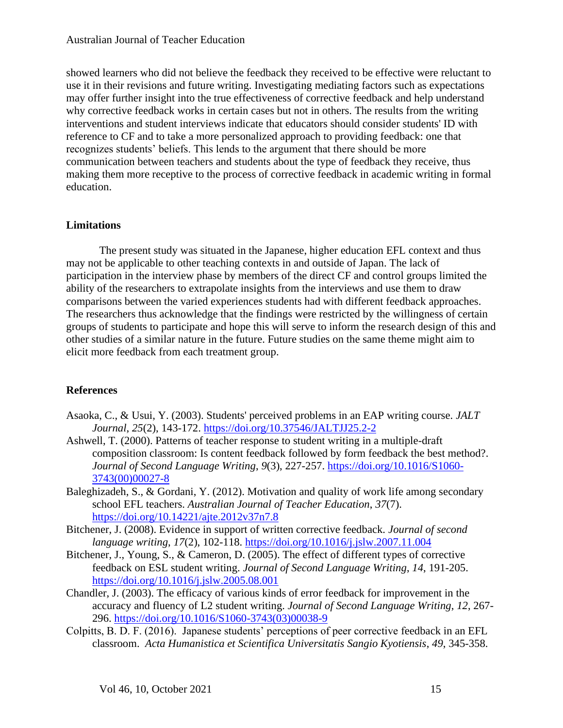showed learners who did not believe the feedback they received to be effective were reluctant to use it in their revisions and future writing. Investigating mediating factors such as expectations may offer further insight into the true effectiveness of corrective feedback and help understand why corrective feedback works in certain cases but not in others. The results from the writing interventions and student interviews indicate that educators should consider students' ID with reference to CF and to take a more personalized approach to providing feedback: one that recognizes students' beliefs. This lends to the argument that there should be more communication between teachers and students about the type of feedback they receive, thus making them more receptive to the process of corrective feedback in academic writing in formal education.

# **Limitations**

The present study was situated in the Japanese, higher education EFL context and thus may not be applicable to other teaching contexts in and outside of Japan. The lack of participation in the interview phase by members of the direct CF and control groups limited the ability of the researchers to extrapolate insights from the interviews and use them to draw comparisons between the varied experiences students had with different feedback approaches. The researchers thus acknowledge that the findings were restricted by the willingness of certain groups of students to participate and hope this will serve to inform the research design of this and other studies of a similar nature in the future. Future studies on the same theme might aim to elicit more feedback from each treatment group.

# **References**

- Asaoka, C., & Usui, Y. (2003). Students' perceived problems in an EAP writing course. *JALT Journal*, *25*(2), 143-172. <https://doi.org/10.37546/JALTJJ25.2-2>
- Ashwell, T. (2000). Patterns of teacher response to student writing in a multiple-draft composition classroom: Is content feedback followed by form feedback the best method?. *Journal of Second Language Writing*, *9*(3), 227-257. [https://doi.org/10.1016/S1060-](https://doi.org/10.1016/S1060-3743(00)00027-8) [3743\(00\)00027-8](https://doi.org/10.1016/S1060-3743(00)00027-8)
- Baleghizadeh, S., & Gordani, Y. (2012). Motivation and quality of work life among secondary school EFL teachers. *Australian Journal of Teacher Education*, *37*(7). <https://doi.org/10.14221/ajte.2012v37n7.8>
- Bitchener, J. (2008). Evidence in support of written corrective feedback. *Journal of second language writing*, *17*(2), 102-118.<https://doi.org/10.1016/j.jslw.2007.11.004>
- Bitchener, J., Young, S., & Cameron, D. (2005). The effect of different types of corrective feedback on ESL student writing. *Journal of Second Language Writing*, *14*, 191-205. <https://doi.org/10.1016/j.jslw.2005.08.001>
- Chandler, J. (2003). The efficacy of various kinds of error feedback for improvement in the accuracy and fluency of L2 student writing. *Journal of Second Language Writing*, *12*, 267- 296. [https://doi.org/10.1016/S1060-3743\(03\)00038-9](https://doi.org/10.1016/S1060-3743(03)00038-9)
- Colpitts, B. D. F. (2016). Japanese students' perceptions of peer corrective feedback in an EFL classroom. *Acta Humanistica et Scientifica Universitatis Sangio Kyotiensis*, *49*, 345-358.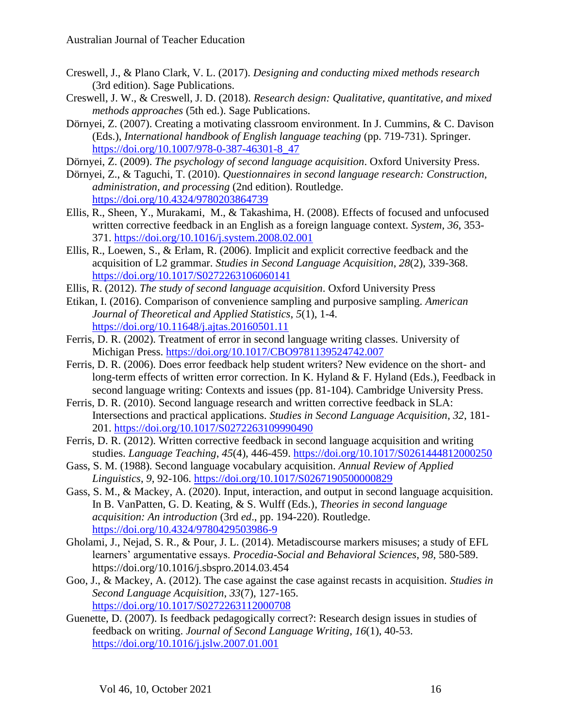- Creswell, J., & Plano Clark, V. L. (2017). *Designing and conducting mixed methods research* (3rd edition). Sage Publications.
- Creswell, J. W., & Creswell, J. D. (2018). *Research design: Qualitative, quantitative, and mixed methods approaches* (5th ed.). Sage Publications.
- Dörnyei, Z. (2007). Creating a motivating classroom environment. In J. Cummins, & C. Davison (Eds.), *International handbook of English language teaching* (pp. 719-731). Springer. [https://doi.org/10.1007/978-0-387-46301-8\\_47](https://doi.org/10.1007/978-0-387-46301-8_47)
- Dörnyei, Z. (2009). *The psychology of second language acquisition*. Oxford University Press.
- Dörnyei, Z., & Taguchi, T. (2010). *Questionnaires in second language research: Construction, administration, and processing* (2nd edition). Routledge. <https://doi.org/10.4324/9780203864739>
- Ellis, R., Sheen, Y., Murakami, M., & Takashima, H. (2008). Effects of focused and unfocused written corrective feedback in an English as a foreign language context. *System*, *36*, 353- 371.<https://doi.org/10.1016/j.system.2008.02.001>
- Ellis, R., Loewen, S., & Erlam, R. (2006). Implicit and explicit corrective feedback and the acquisition of L2 grammar. *Studies in Second Language Acquisition*, *28*(2), 339-368. <https://doi.org/10.1017/S0272263106060141>
- Ellis, R. (2012). *The study of second language acquisition*. Oxford University Press
- Etikan, I. (2016). Comparison of convenience sampling and purposive sampling. *American Journal of Theoretical and Applied Statistics*, *5*(1), 1-4. <https://doi.org/10.11648/j.ajtas.20160501.11>
- Ferris, D. R. (2002). Treatment of error in second language writing classes. University of Michigan Press. <https://doi.org/10.1017/CBO9781139524742.007>
- Ferris, D. R. (2006). Does error feedback help student writers? New evidence on the short- and long-term effects of written error correction. In K. Hyland & F. Hyland (Eds.), Feedback in second language writing: Contexts and issues (pp. 81-104). Cambridge University Press.
- Ferris, D. R. (2010). Second language research and written corrective feedback in SLA: Intersections and practical applications. *Studies in Second Language Acquisition*, *32*, 181- 201.<https://doi.org/10.1017/S0272263109990490>
- Ferris, D. R. (2012). Written corrective feedback in second language acquisition and writing studies. *Language Teaching*, *45*(4), 446-459.<https://doi.org/10.1017/S0261444812000250>
- Gass, S. M. (1988). Second language vocabulary acquisition. *Annual Review of Applied Linguistics*, *9*, 92-106. <https://doi.org/10.1017/S0267190500000829>
- Gass, S. M., & Mackey, A. (2020). Input, interaction, and output in second language acquisition. In B. VanPatten, G. D. Keating, & S. Wulff (Eds.), *Theories in second language acquisition: An introduction* (3rd *ed*., pp. 194-220). Routledge. <https://doi.org/10.4324/9780429503986-9>
- Gholami, J., Nejad, S. R., & Pour, J. L. (2014). Metadiscourse markers misuses; a study of EFL learners' argumentative essays. *Procedia-Social and Behavioral Sciences*, *98*, 580-589. <https://doi.org/10.1016/j.sbspro.2014.03.454>
- Goo, J., & Mackey, A. (2012). The case against the case against recasts in acquisition. *Studies in Second Language Acquisition*, *33*(7), 127-165. <https://doi.org/10.1017/S0272263112000708>
- Guenette, D. (2007). Is feedback pedagogically correct?: Research design issues in studies of feedback on writing. *Journal of Second Language Writing*, *16*(1), 40-53. <https://doi.org/10.1016/j.jslw.2007.01.001>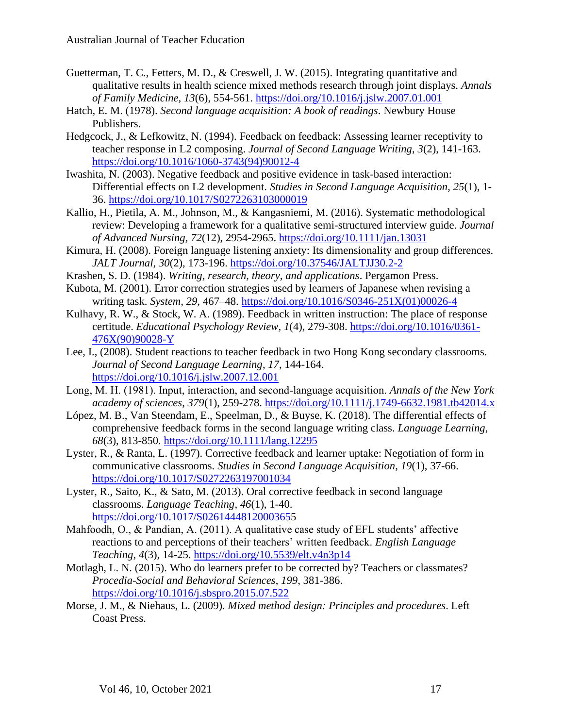- Guetterman, T. C., Fetters, M. D., & Creswell, J. W. (2015). Integrating quantitative and qualitative results in health science mixed methods research through joint displays. *Annals of Family Medicine, 13*(6), 554-561.<https://doi.org/10.1016/j.jslw.2007.01.001>
- Hatch, E. M. (1978). *Second language acquisition: A book of readings*. Newbury House Publishers.
- Hedgcock, J., & Lefkowitz, N. (1994). Feedback on feedback: Assessing learner receptivity to teacher response in L2 composing. *Journal of Second Language Writing*, *3*(2), 141-163. [https://doi.org/10.1016/1060-3743\(94\)90012-4](https://doi.org/10.1016/1060-3743(94)90012-4)
- Iwashita, N. (2003). Negative feedback and positive evidence in task-based interaction: Differential effects on L2 development. *Studies in Second Language Acquisition*, *25*(1), 1- 36.<https://doi.org/10.1017/S0272263103000019>
- Kallio, H., Pietila, A. M., Johnson, M., & Kangasniemi, M. (2016). Systematic methodological review: Developing a framework for a qualitative semi-structured interview guide. *Journal of Advanced Nursing, 72*(12), 2954-2965.<https://doi.org/10.1111/jan.13031>
- Kimura, H. (2008). Foreign language listening anxiety: Its dimensionality and group differences. *JALT Journal*, *30*(2), 173-196.<https://doi.org/10.37546/JALTJJ30.2-2>
- Krashen, S. D. (1984). *Writing, research, theory, and applications*. Pergamon Press.
- Kubota, M. (2001). Error correction strategies used by learners of Japanese when revising a writing task. *System*, *29*, 467–48. [https://doi.org/10.1016/S0346-251X\(01\)00026-4](https://doi.org/10.1016/S0346-251X(01)00026-4)
- Kulhavy, R. W., & Stock, W. A. (1989). Feedback in written instruction: The place of response certitude. *Educational Psychology Review*, *1*(4), 279-308. [https://doi.org/10.1016/0361-](https://doi.org/10.1016/0361-476X(90)90028-Y) [476X\(90\)90028-Y](https://doi.org/10.1016/0361-476X(90)90028-Y)
- Lee, I., (2008). Student reactions to teacher feedback in two Hong Kong secondary classrooms. *Journal of Second Language Learning*, *17*, 144-164. <https://doi.org/10.1016/j.jslw.2007.12.001>
- Long, M. H. (1981). Input, interaction, and second‐language acquisition. *Annals of the New York academy of sciences*, *379*(1), 259-278.<https://doi.org/10.1111/j.1749-6632.1981.tb42014.x>
- López, M. B., Van Steendam, E., Speelman, D., & Buyse, K. (2018). The differential effects of comprehensive feedback forms in the second language writing class. *Language Learning*, *68*(3), 813-850.<https://doi.org/10.1111/lang.12295>
- Lyster, R., & Ranta, L. (1997). Corrective feedback and learner uptake: Negotiation of form in communicative classrooms. *Studies in Second Language Acquisition*, *19*(1), 37-66. <https://doi.org/10.1017/S0272263197001034>
- Lyster, R., Saito, K., & Sato, M. (2013). Oral corrective feedback in second language classrooms. *Language Teaching*, *46*(1), 1-40. [https://doi.org/10.1017/S02614448120003655](https://doi.org/10.1017/S0261444812000365)
- Mahfoodh, O., & Pandian, A. (2011). A qualitative case study of EFL students' affective reactions to and perceptions of their teachers' written feedback. *English Language Teaching*, *4*(3), 14-25.<https://doi.org/10.5539/elt.v4n3p14>
- Motlagh, L. N. (2015). Who do learners prefer to be corrected by? Teachers or classmates? *Procedia-Social and Behavioral Sciences*, *199*, 381-386. <https://doi.org/10.1016/j.sbspro.2015.07.522>
- Morse, J. M., & Niehaus, L. (2009). *Mixed method design: Principles and procedures*. Left Coast Press.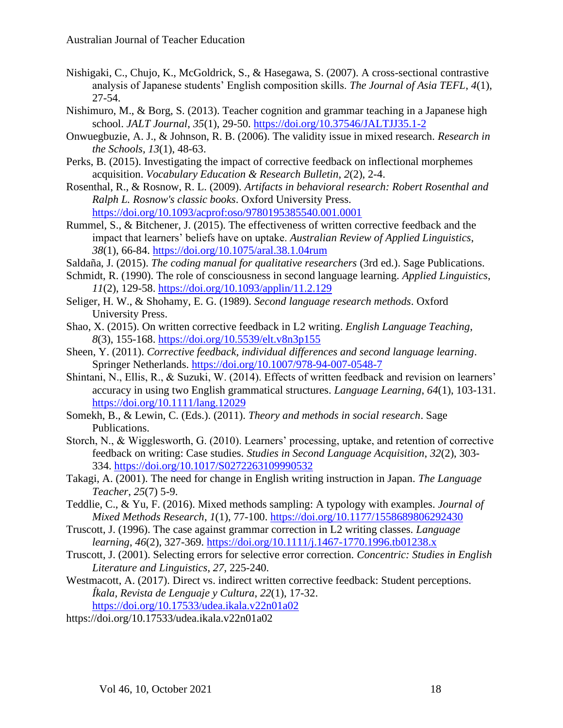- Nishigaki, C., Chujo, K., McGoldrick, S., & Hasegawa, S. (2007). A cross-sectional contrastive analysis of Japanese students' English composition skills. *The Journal of Asia TEFL*, *4*(1), 27-54.
- Nishimuro, M., & Borg, S. (2013). Teacher cognition and grammar teaching in a Japanese high school. *JALT Journal*, *35*(1), 29-50.<https://doi.org/10.37546/JALTJJ35.1-2>
- Onwuegbuzie, A. J., & Johnson, R. B. (2006). The validity issue in mixed research. *Research in the Schools, 13*(1), 48-63.
- Perks, B. (2015). Investigating the impact of corrective feedback on inflectional morphemes acquisition. *Vocabulary Education & Research Bulletin*, *2*(2), 2-4.
- Rosenthal, R., & Rosnow, R. L. (2009). *Artifacts in behavioral research: Robert Rosenthal and Ralph L. Rosnow's classic books*. Oxford University Press. <https://doi.org/10.1093/acprof:oso/9780195385540.001.0001>
- Rummel, S., & Bitchener, J. (2015). The effectiveness of written corrective feedback and the impact that learners' beliefs have on uptake. *Australian Review of Applied Linguistics*, *38*(1), 66-84.<https://doi.org/10.1075/aral.38.1.04rum>
- Saldaña, J. (2015). *The coding manual for qualitative researchers* (3rd ed.). Sage Publications.
- Schmidt, R. (1990). The role of consciousness in second language learning. *Applied Linguistics*, *11*(2), 129-58.<https://doi.org/10.1093/applin/11.2.129>
- Seliger, H. W., & Shohamy, E. G. (1989). *Second language research methods*. Oxford University Press.
- Shao, X. (2015). On written corrective feedback in L2 writing. *English Language Teaching*, *8*(3), 155-168.<https://doi.org/10.5539/elt.v8n3p155>
- Sheen, Y. (2011). *Corrective feedback, individual differences and second language learning*. Springer Netherlands. <https://doi.org/10.1007/978-94-007-0548-7>
- Shintani, N., Ellis, R., & Suzuki, W. (2014). Effects of written feedback and revision on learners' accuracy in using two English grammatical structures. *Language Learning*, *64*(1), 103-131. <https://doi.org/10.1111/lang.12029>
- Somekh, B., & Lewin, C. (Eds.). (2011). *Theory and methods in social research*. Sage Publications.
- Storch, N., & Wigglesworth, G. (2010). Learners' processing, uptake, and retention of corrective feedback on writing: Case studies. *Studies in Second Language Acquisition*, *32*(2), 303- 334.<https://doi.org/10.1017/S0272263109990532>
- Takagi, A. (2001). The need for change in English writing instruction in Japan. *The Language Teacher*, *25*(7) 5-9.
- Teddlie, C., & Yu, F. (2016). Mixed methods sampling: A typology with examples. *Journal of Mixed Methods Research*, *1*(1), 77-100.<https://doi.org/10.1177/1558689806292430>
- Truscott, J. (1996). The case against grammar correction in L2 writing classes. *Language learning*, *46*(2), 327-369.<https://doi.org/10.1111/j.1467-1770.1996.tb01238.x>
- Truscott, J. (2001). Selecting errors for selective error correction. *Concentric: Studies in English Literature and Linguistics*, *27*, 225-240.
- Westmacott, A. (2017). Direct vs. indirect written corrective feedback: Student perceptions. *Íkala, Revista de Lenguaje y Cultura*, *22*(1), 17-32. <https://doi.org/10.17533/udea.ikala.v22n01a02>
- <https://doi.org/10.17533/udea.ikala.v22n01a02>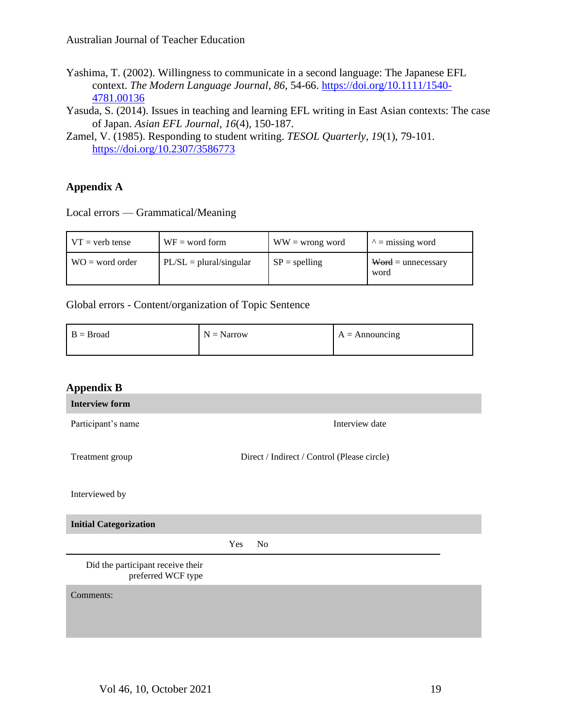- Yashima, T. (2002). Willingness to communicate in a second language: The Japanese EFL context. *The Modern Language Journal*, *86*, 54-66. [https://doi.org/10.1111/1540-](https://doi.org/10.1111/1540-4781.00136) [4781.00136](https://doi.org/10.1111/1540-4781.00136)
- Yasuda, S. (2014). Issues in teaching and learning EFL writing in East Asian contexts: The case of Japan. *Asian EFL Journal*, *16*(4), 150-187.
- Zamel, V. (1985). Responding to student writing. *TESOL Quarterly*, *19*(1), 79-101. <https://doi.org/10.2307/3586773>

# **Appendix A**

Local errors — Grammatical/Meaning

| $VT = verb$ tense | $WF = word form$          | $WW =$ wrong word | $\lambda$ = missing word            |
|-------------------|---------------------------|-------------------|-------------------------------------|
| $WO = word order$ | $PL/SL = plural/singular$ | $SP = spelling$   | $\text{Word} =$ unnecessary<br>word |

# Global errors - Content/organization of Topic Sentence

| $B = Broad$ | $N = \text{Narrow}$ | $A =$ Announcing |
|-------------|---------------------|------------------|
|-------------|---------------------|------------------|

| <b>Appendix B</b>                                       |                                             |
|---------------------------------------------------------|---------------------------------------------|
| <b>Interview form</b>                                   |                                             |
| Participant's name                                      | Interview date                              |
| Treatment group                                         | Direct / Indirect / Control (Please circle) |
| Interviewed by                                          |                                             |
| <b>Initial Categorization</b>                           |                                             |
|                                                         | Yes<br>No                                   |
| Did the participant receive their<br>preferred WCF type |                                             |
| Comments:                                               |                                             |
|                                                         |                                             |
|                                                         |                                             |